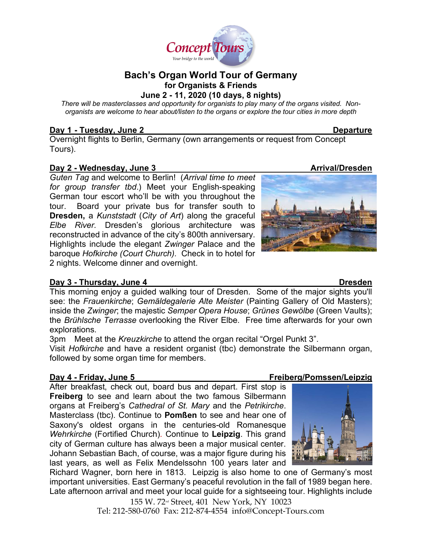

# **Bach's Organ World Tour of Germany for Organists & Friends June 2 - 11, 2020 (10 days, 8 nights)**

*There will be masterclasses and opportunity for organists to play many of the organs visited. Nonorganists are welcome to hear about/listen to the organs or explore the tour cities in more depth* 

## **Day 1 - Tuesday, June 2 Departure**

Overnight flights to Berlin, Germany (own arrangements or request from Concept Tours).

# **Day 2 - Wednesday, June 3 Arrival/Dresden**

*Guten Tag* and welcome to Berlin! (*Arrival time to meet for group transfer tbd*.) Meet your English-speaking German tour escort who'll be with you throughout the tour. Board your private bus for transfer south to **Dresden,** a *Kunststadt* (*City of Art*) along the graceful *Elbe River.* Dresden's glorious architecture was reconstructed in advance of the city's 800th anniversary. Highlights include the elegant *Zwinger* Palace and the baroque *Hofkirche (Court Church).* Check in to hotel for 2 nights. Welcome dinner and overnight.

# **Day 3 - Thursday, June 4 Dresden**

This morning enjoy a guided walking tour of Dresden. Some of the major sights you'll see: the *Frauenkirche*; *Gemäldegalerie Alte Meister* (Painting Gallery of Old Masters); inside the *Zwinger*; the majestic *Semper Opera House*; *Grünes Gewölbe* (Green Vaults); the *Brühlsche Terrasse* overlooking the River Elbe. Free time afterwards for your own explorations.

3pm Meet at the *Kreuzkirche* to attend the organ recital "Orgel Punkt 3".

Visit *Hofkirche* and have a resident organist (tbc) demonstrate the Silbermann organ, followed by some organ time for members.

After breakfast, check out, board bus and depart. First stop is **Freiberg** to see and learn about the two famous Silbermann organs at Freiberg's *Cathedral of St. Mary* and the *Petrikirche*. Masterclass (tbc). Continue to **Pomßen** to see and hear one of Saxony's oldest organs in the centuries-old Romanesque *Wehrkirche* (Fortified Church)*.* Continue to **Leipzig**. This grand city of German culture has always been a major musical center. Johann Sebastian Bach, of course, was a major figure during his last years, as well as Felix Mendelssohn 100 years later and

Richard Wagner, born here in 1813. Leipzig is also home to one of Germany's most important universities. East Germany's peaceful revolution in the fall of 1989 began here. Late afternoon arrival and meet your local guide for a sightseeing tour. Highlights include

155 W. 72nd Street, 401 New York, NY 10023 Tel: 212-580-0760 Fax: 212-874-4554 info@Concept-Tours.com

# **Day 4 - Friday, June 5 Freiberg/Pomssen/Leipzig**



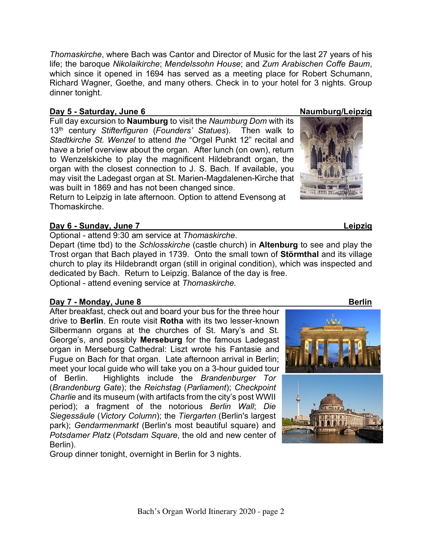*Thomaskirche*, where Bach was Cantor and Director of Music for the last 27 years of his life; the baroque *Nikolaikirche*; *Mendelssohn House*; and *Zum Arabischen Coffe Baum*, which since it opened in 1694 has served as a meeting place for Robert Schumann, Richard Wagner, Goethe, and many others. Check in to your hotel for 3 nights. Group dinner tonight.

## **Day 5 - Saturday, June 6 Naumburg/Leipzig**

Full day excursion to **Naumburg** to visit the *Naumburg Dom* with its 13th century *Stifterfiguren* (*Founders' Statues*). Then walk to *Stadtkirche St. Wenzel* to attend *the* "Orgel Punkt 12" recital and have a brief overview about the organ. After lunch (on own), return to Wenzelskiche to play the magnificent Hildebrandt organ, the organ with the closest connection to J. S. Bach. If available, you may visit the Ladegast organ at St. Marien-Magdalenen-Kirche that was built in 1869 and has not been changed since.

Return to Leipzig in late afternoon. Option to attend Evensong at Thomaskirche.

## **Day 6 - Sunday, June 7 Leipzig**

Optional - attend 9:30 am service at *Thomaskirche*.

Depart (time tbd) to the *Schlosskirche* (castle church) in **Altenburg** to see and play the Trost organ that Bach played in 1739. Onto the small town of **Störmthal** and its village church to play its Hildebrandt organ (still in original condition), which was inspected and dedicated by Bach. Return to Leipzig. Balance of the day is free. Optional - attend evening service at *Thomaskirche.*

# **Day 7 - Monday, June 8 Berlin**

After breakfast, check out and board your bus for the three hour drive to **Berlin**. En route visit **Rotha** with its two lesser-known Silbermann organs at the churches of St. Mary's and St. George's, and possibly **Merseburg** for the famous Ladegast organ in Merseburg Cathedral: Liszt wrote his Fantasie and Fugue on Bach for that organ. Late afternoon arrival in Berlin; meet your local guide who will take you on a 3-hour guided tour of Berlin. Highlights include the *Brandenburger Tor* (*Brandenburg Gate*); the *Reichstag* (*Parliament*); *Checkpoint Charlie* and its museum (with artifacts from the city's post WWII period); a fragment of the notorious *Berlin Wall*; *Die Siegessäule* (*Victory Column*); the *Tiergarten* (Berlin's largest park); *Gendarmenmarkt* (Berlin's most beautiful square) and *Potsdamer Platz* (*Potsdam Square*, the old and new center of Berlin).

Group dinner tonight, overnight in Berlin for 3 nights.